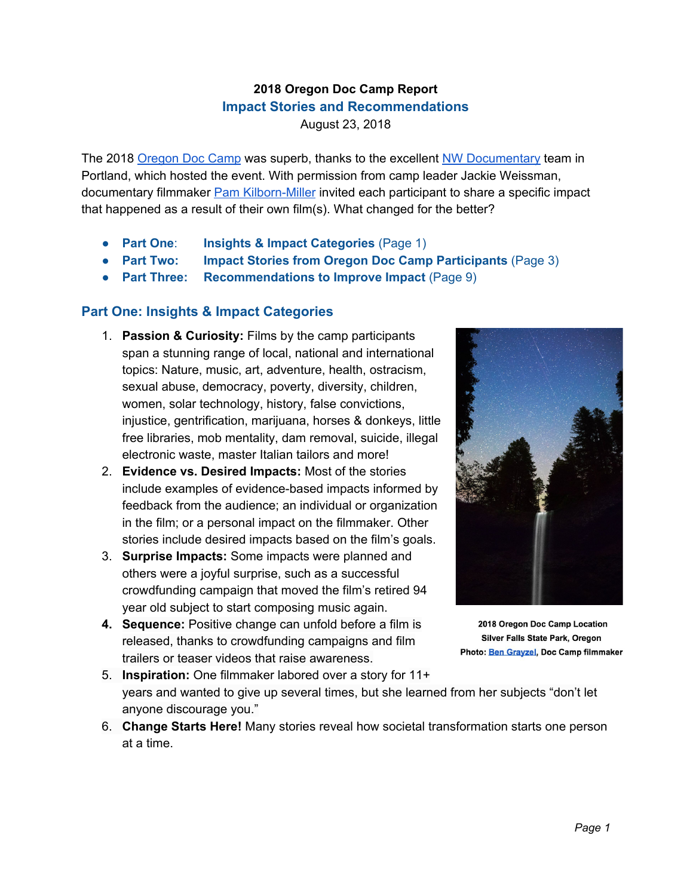# **2018 Oregon Doc Camp Report Impact Stories and Recommendations**

August 23, 2018

The 2018 [Oregon](https://nwdocumentary.org/doc-camp) Doc Camp was superb, thanks to the excellent NW [Documentary](https://nwdocumentary.org/) team in Portland, which hosted the event. With permission from camp leader Jackie Weissman, documentary filmmaker **Pam [Kilborn-Miller](https://www.linkedin.com/in/pamelakilbornmiller/)** invited each participant to share a specific impact that happened as a result of their own film(s). What changed for the better?

- **Part One**: **Insights & Impact Categories** (Page 1)
- **Part Two: Impact Stories from Oregon Doc Camp Participants** (Page 3)
- **Part Three: Recommendations to Improve Impact** (Page 9)

# **Part One: Insights & Impact Categories**

- 1. **Passion & Curiosity:** Films by the camp participants span a stunning range of local, national and international topics: Nature, music, art, adventure, health, ostracism, sexual abuse, democracy, poverty, diversity, children, women, solar technology, history, false convictions, injustice, gentrification, marijuana, horses & donkeys, little free libraries, mob mentality, dam removal, suicide, illegal electronic waste, master Italian tailors and more!
- 2. **Evidence vs. Desired Impacts:** Most of the stories include examples of evidence-based impacts informed by feedback from the audience; an individual or organization in the film; or a personal impact on the filmmaker. Other stories include desired impacts based on the film's goals.
- 3. **Surprise Impacts:** Some impacts were planned and others were a joyful surprise, such as a successful crowdfunding campaign that moved the film's retired 94 year old subject to start composing music again.
- **4. Sequence:** Positive change can unfold before a film is released, thanks to crowdfunding campaigns and film trailers or teaser videos that raise awareness.



2018 Oregon Doc Camp Location Silver Falls State Park, Oregon Photo: Ben Gravzel, Doc Camp filmmaker

- 5. **Inspiration:** One filmmaker labored over a story for 11+ years and wanted to give up several times, but she learned from her subjects "don't let anyone discourage you."
- 6. **Change Starts Here!** Many stories reveal how societal transformation starts one person at a time.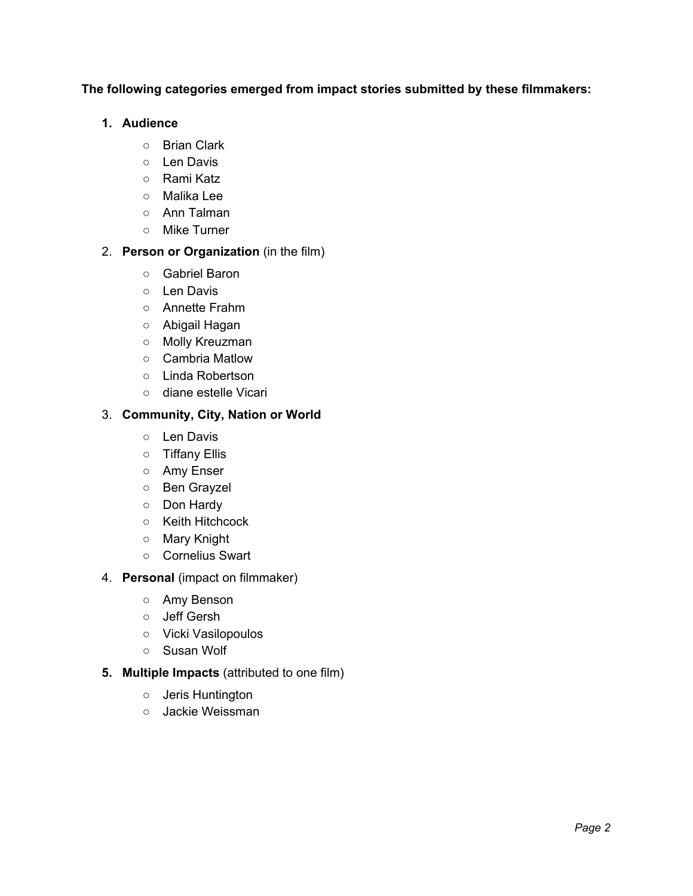### **The following categories emerged from impact stories submitted by these filmmakers:**

### **1. Audience**

- Brian Clark
- Len Davis
- Rami Katz
- Malika Lee
- Ann Talman
- Mike Turner

### 2. **Person or Organization** (in the film)

- Gabriel Baron
- Len Davis
- Annette Frahm
- Abigail Hagan
- *○* Molly Kreuzman
- Cambria Matlow
- Linda Robertson
- diane estelle Vicari

### 3. **Community, City, Nation or World**

- Len Davis
- Tiffany Ellis
- Amy Enser
- Ben Grayzel
- Don Hardy
- Keith Hitchcock
- Mary Knight
- Cornelius Swart
- 4. **Personal** (impact on filmmaker)
	- Amy Benson
	- Jeff Gersh
	- Vicki Vasilopoulos
	- Susan Wolf
- **5. Multiple Impacts** (attributed to one film)
	- Jeris Huntington
	- Jackie Weissman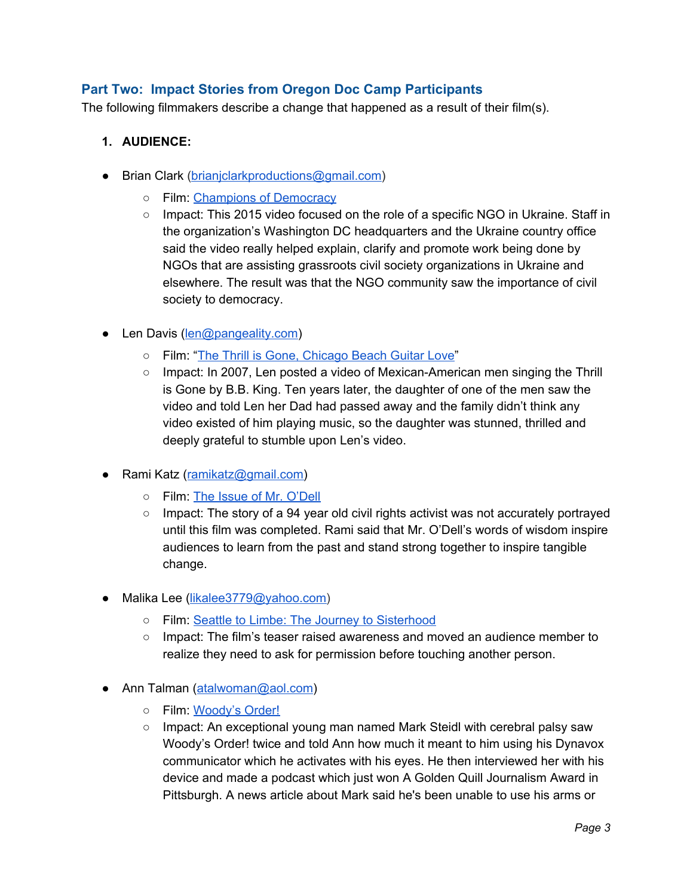# **Part Two: Impact Stories from Oregon Doc Camp Participants**

The following filmmakers describe a change that happened as a result of their film(s).

- **1. AUDIENCE:**
- Brian Clark [\(brianjclarkproductions@gmail.com\)](mailto:brianjclarkproductions@gmail.com)
	- o Film: [Champions](https://www.brianjclarkproductions.com/#/ukraine/) of Democracy
	- Impact: This 2015 video focused on the role of a specific NGO in Ukraine. Staff in the organization's Washington DC headquarters and the Ukraine country office said the video really helped explain, clarify and promote work being done by NGOs that are assisting grassroots civil society organizations in Ukraine and elsewhere. The result was that the NGO community saw the importance of civil society to democracy.
- Len Davis ([len@pangeality.com](mailto:len@pangeality.com))
	- Film: "The Thrill is Gone, [Chicago](https://www.youtube.com/watch?v=De36F6rOT9U) Beach Guitar Love"
	- Impact: In 2007, Len posted a video of Mexican-American men singing the Thrill is Gone by B.B. King. Ten years later, the daughter of one of the men saw the video and told Len her Dad had passed away and the family didn't think any video existed of him playing music, so the daughter was stunned, thrilled and deeply grateful to stumble upon Len's video.
- Rami Katz ([ramikatz@gmail.com](mailto:ramikatz@gmail.com))
	- Film: The Issue of Mr. [O'Dell](https://ramihkatz.com/theissueofmrodell)
	- $\circ$  Impact: The story of a 94 year old civil rights activist was not accurately portrayed until this film was completed. Rami said that Mr. O'Dell's words of wisdom inspire audiences to learn from the past and stand strong together to inspire tangible change.
- Malika Lee ([likalee3779@yahoo.com\)](mailto:likalee3779@yahoo.com)
	- Film: Seattle to Limbe: The Journey to [Sisterhood](https://limbeseattlesisters.wordpress.com/about/)
	- Impact: The film's teaser raised awareness and moved an audience member to realize they need to ask for permission before touching another person.
- Ann Talman ([atalwoman@aol.com\)](mailto:atalwoman@aol.com)
	- Film: [Woody's](https://www.imdb.com/title/tt6090882/) Order!
	- Impact: An exceptional young man named Mark Steidl with cerebral palsy saw Woody's Order! twice and told Ann how much it meant to him using his Dynavox communicator which he activates with his eyes. He then interviewed her with his device and made a podcast which just won A Golden Quill Journalism Award in Pittsburgh. A news article about Mark said he's been unable to use his arms or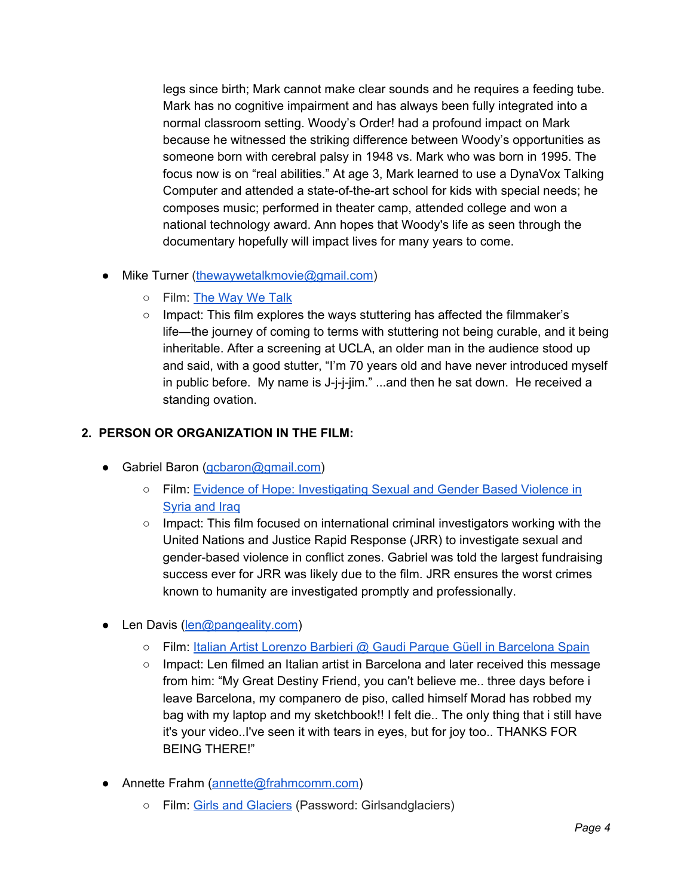legs since birth; Mark cannot make clear sounds and he requires a feeding tube. Mark has no cognitive impairment and has always been fully integrated into a normal classroom setting. Woody's Order! had a profound impact on Mark because he witnessed the striking difference between Woody's opportunities as someone born with cerebral palsy in 1948 vs. Mark who was born in 1995. The focus now is on "real abilities." At age 3, Mark learned to use a DynaVox Talking Computer and attended a state-of-the-art school for kids with special needs; he composes music; performed in theater camp, attended college and won a national technology award. Ann hopes that Woody's life as seen through the documentary hopefully will impact lives for many years to come.

- Mike Turner [\(thewaywetalkmovie@gmail.com\)](mailto:thewaywetalkmovie@gmail.com)
	- Film: The [Way](http://www.thewaywetalk.org/) We Talk
	- $\circ$  Impact: This film explores the ways stuttering has affected the filmmaker's life―the journey of coming to terms with stuttering not being curable, and it being inheritable. After a screening at UCLA, an older man in the audience stood up and said, with a good stutter, "I'm 70 years old and have never introduced myself in public before. My name is J-j-j-jim." ...and then he sat down. He received a standing ovation.

### **2. PERSON OR ORGANIZATION IN THE FILM:**

- Gabriel Baron [\(gcbaron@gmail.com\)](mailto:gcbaron@gmail.com)
	- Film: Evidence of Hope: [Investigating](http://www.justicerapidresponse.org/evidence-of-hope/) Sexual and Gender Based Violence in [Syria](http://www.justicerapidresponse.org/evidence-of-hope/) and Iraq
	- Impact: This film focused on international criminal investigators working with the United Nations and Justice Rapid Response (JRR) to investigate sexual and gender-based violence in conflict zones. Gabriel was told the largest fundraising success ever for JRR was likely due to the film. JRR ensures the worst crimes known to humanity are investigated promptly and professionally.
- Len Davis ([len@pangeality.com](mailto:len@pangeality.com))
	- Film: Italian Artist [Lorenzo](https://www.youtube.com/watch?v=pPgzaqaG_ZY) Barbieri @ Gaudi Parque Güell in [Barcelona](https://www.youtube.com/watch?v=pPgzaqaG_ZY) Spain
	- Impact: Len filmed an Italian artist in Barcelona and later received this message from him: "My Great Destiny Friend, you can't believe me.. three days before i leave Barcelona, my companero de piso, called himself Morad has robbed my bag with my laptop and my sketchbook!! I felt die.. The only thing that i still have it's your video..I've seen it with tears in eyes, but for joy too.. THANKS FOR BEING THERE!"
- Annette Frahm ([annette@frahmcomm.com](mailto:annette@frahmcomm.com))
	- Film: Girls and [Glaciers](https://vimeo.com/221682990) (Password: Girlsandglaciers)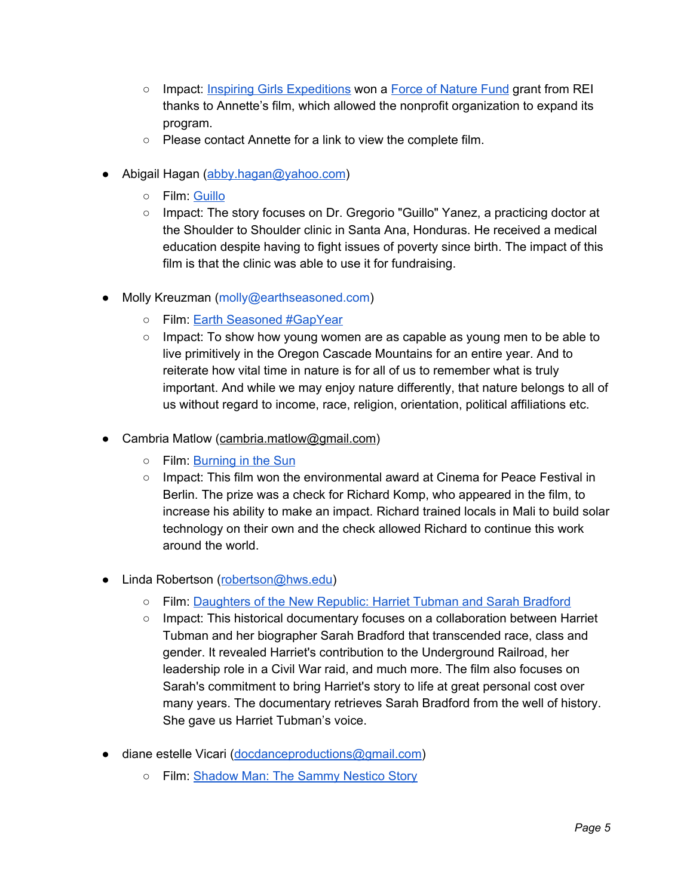- Impact: Inspiring Girls [Expeditions](http://www.inspiringgirls.org/) won a [F](https://www.rei.com/blog/stewardship/force-of-nature-fund)orce of [Nature](https://www.rei.com/blog/stewardship/force-of-nature-fund) Fund grant from REI thanks to Annette's film, which allowed the nonprofit organization to expand its program.
- Please contact Annette for a link to view the complete film.
- Abigail Hagan [\(abby.hagan@yahoo.com](mailto:abby.hagan@yahoo.com))
	- Film: [Guillo](https://www.prekindle.com/festivalfeature/id/24545708307518872)
	- Impact: The story focuses on Dr. Gregorio "Guillo" Yanez, a practicing doctor at the Shoulder to Shoulder clinic in Santa Ana, Honduras. He received a medical education despite having to fight issues of poverty since birth. The impact of this film is that the clinic was able to use it for fundraising.
- Molly Kreuzman (molly@earthseasoned.com)
	- Film: Earth Seasoned [#GapYear](https://earthseasoned.com/)
	- $\circ$  Impact: To show how young women are as capable as young men to be able to live primitively in the Oregon Cascade Mountains for an entire year. And to reiterate how vital time in nature is for all of us to remember what is truly important. And while we may enjoy nature differently, that nature belongs to all of us without regard to income, race, religion, orientation, political affiliations etc.
- Cambria Matlow [\(cambria.matlow@gmail.com](mailto:cambriia.matlow@gmail.com))
	- o Film: [Burning](https://www.imdb.com/name/nm1300967/) in the Sun
	- Impact: This film won the environmental award at Cinema for Peace Festival in Berlin. The prize was a check for Richard Komp, who appeared in the film, to increase his ability to make an impact. Richard trained locals in Mali to build solar technology on their own and the check allowed Richard to continue this work around the world.
- Linda Robertson ([robertson@hws.edu\)](mailto:robertson@hws.edu)
	- Film: [Daughters](https://search.alexanderstreet.com/preview/work/bibliographic_entity%7Cvideo_work%7C3551048) of the New Republic: Harriet Tubman and Sarah Bradford
	- Impact: This historical documentary focuses on a collaboration between Harriet Tubman and her biographer Sarah Bradford that transcended race, class and gender. It revealed Harriet's contribution to the Underground Railroad, her leadership role in a Civil War raid, and much more. The film also focuses on Sarah's commitment to bring Harriet's story to life at great personal cost over many years. The documentary retrieves Sarah Bradford from the well of history. She gave us Harriet Tubman's voice.
- diane estelle Vicari ([docdanceproductions@gmail.com\)](mailto:docdanceproductions@gmail.com)
	- **○** Film: [Shadow](http://dianeestellevicari.com/) Man: The Sammy Nestico Story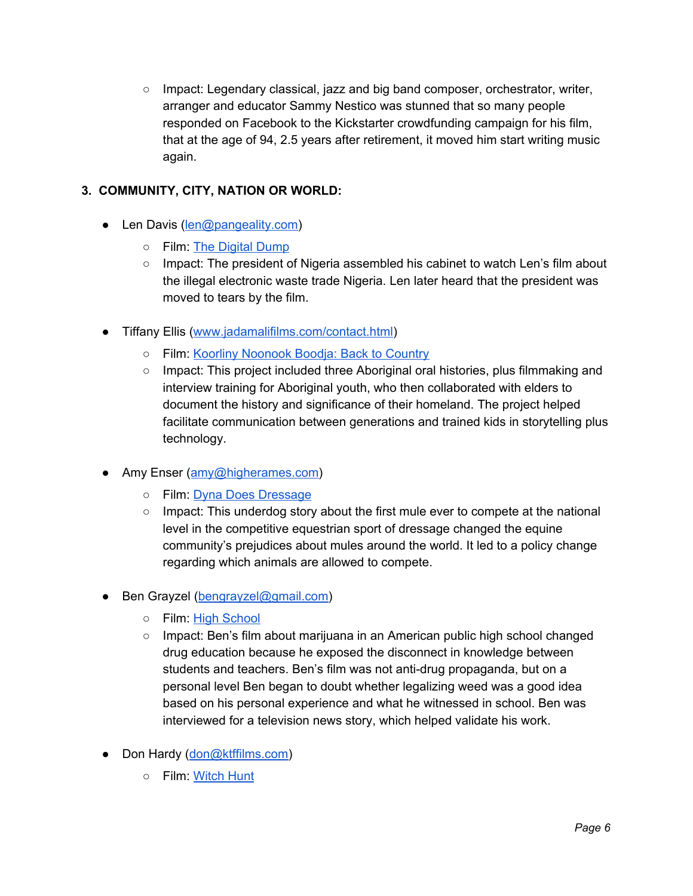**○** Impact: Legendary classical, jazz and big band composer, orchestrator, writer, arranger and educator Sammy Nestico was stunned that so many people responded on Facebook to the Kickstarter crowdfunding campaign for his film, that at the age of 94, 2.5 years after retirement, it moved him start writing music again.

### **3. COMMUNITY, CITY, NATION OR WORLD:**

- Len Davis ([len@pangeality.com](mailto:len@pangeality.com))
	- Film: The [Digital](https://www.youtube.com/watch?v=i4GZA9kEOV4) Dump
	- Impact: The president of Nigeria assembled his cabinet to watch Len's film about the illegal electronic waste trade Nigeria. Len later heard that the president was moved to tears by the film.
- Tiffany Ellis ([www.jadamalifilms.com/contact.html](https://www.jadamalifilms.com/contact.html))
	- o Film: Koorliny [Noonook](https://www.jadamalifilms.com/pastprojects.html) Boodja: Back to Country
	- Impact: This project included three Aboriginal oral histories, plus filmmaking and interview training for Aboriginal youth, who then collaborated with elders to document the history and significance of their homeland. The project helped facilitate communication between generations and trained kids in storytelling plus technology.
- Amy Enser ([amy@higherames.com\)](mailto:amy@higherames.com)
	- Film: Dyna Does [Dressage](https://vimeo.com/121214984)
	- $\circ$  Impact: This underdog story about the first mule ever to compete at the national level in the competitive equestrian sport of dressage changed the equine community's prejudices about mules around the world. It led to a policy change regarding which animals are allowed to compete.
- Ben Grayzel ([bengrayzel@gmail.com](mailto:bengrayzel@gmail.com))
	- Film: High [School](http://lexichronic.com/video/weed-documentary-2016-high-school-marijuana-in-an-american-public-high-school/)
	- Impact: Ben's film about marijuana in an American public high school changed drug education because he exposed the disconnect in knowledge between students and teachers. Ben's film was not anti-drug propaganda, but on a personal level Ben began to doubt whether legalizing weed was a good idea based on his personal experience and what he witnessed in school. Ben was interviewed for a television news story, which helped validate his work.
- Don Hardy [\(don@ktffilms.com\)](mailto:don@ktfilms.com)
	- Film: [Witch](https://www.imdb.com/title/tt1196112/) Hunt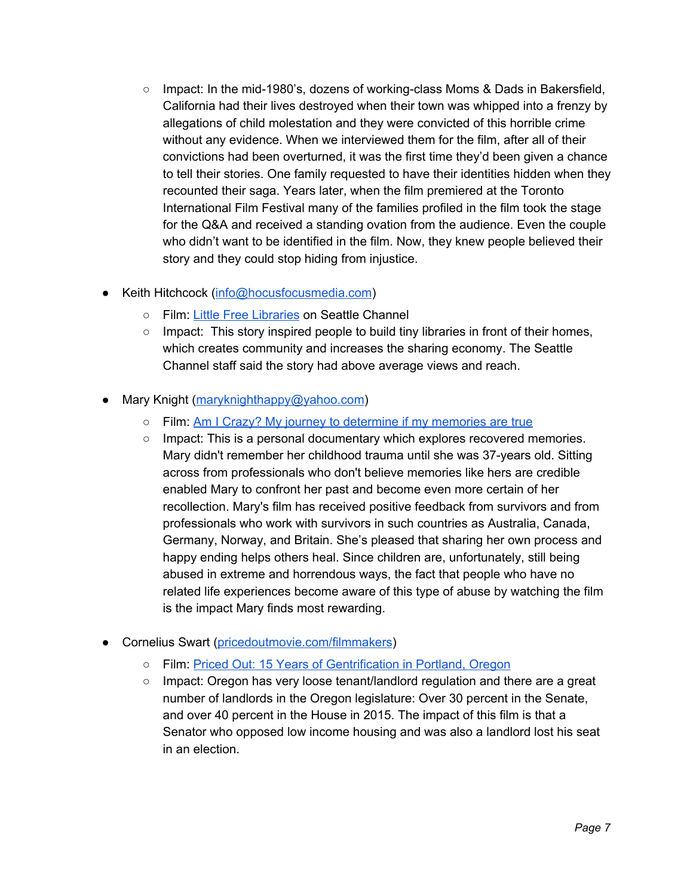- Impact: In the mid-1980's, dozens of working-class Moms & Dads in Bakersfield, California had their lives destroyed when their town was whipped into a frenzy by allegations of child molestation and they were convicted of this horrible crime without any evidence. When we interviewed them for the film, after all of their convictions had been overturned, it was the first time they'd been given a chance to tell their stories. One family requested to have their identities hidden when they recounted their saga. Years later, when the film premiered at the Toronto International Film Festival many of the families profiled in the film took the stage for the Q&A and received a standing ovation from the audience. Even the couple who didn't want to be identified in the film. Now, they knew people believed their story and they could stop hiding from injustice.
- Keith Hitchcock [\(info@hocusfocusmedia.com](mailto:info@hocusfocusmedia.com))
	- Film: Little Free [Libraries](https://www.youtube.com/watch?v=y6V7fVGbaXs) on Seattle Channel
	- $\circ$  Impact: This story inspired people to build tiny libraries in front of their homes, which creates community and increases the sharing economy. The Seattle Channel staff said the story had above average views and reach.
- Mary Knight [\(maryknighthappy@yahoo.com\)](mailto:maryknighthappy@yahoo.com)
	- Film: <u>[A](http://www.maryknightproductions.com/index.html)m I Crazy? My journey to [determine](http://www.maryknightproductions.com/index.html) if my memories are true</u>
	- Impact: This is a personal documentary which explores recovered memories. Mary didn't remember her childhood trauma until she was 37-years old. Sitting across from professionals who don't believe memories like hers are credible enabled Mary to confront her past and become even more certain of her recollection. Mary's film has received positive feedback from survivors and from professionals who work with survivors in such countries as Australia, Canada, Germany, Norway, and Britain. She's pleased that sharing her own process and happy ending helps others heal. Since children are, unfortunately, still being abused in extreme and horrendous ways, the fact that people who have no related life experiences become aware of this type of abuse by watching the film is the impact Mary finds most rewarding.
- Cornelius Swart [\(pricedoutmovie.com/filmmakers](https://www.pricedoutmovie.com/filmmakers/))
	- Film: Priced Out: 15 Years of [Gentrification](https://www.pricedoutmovie.com/) in Portland, Oregon
	- Impact: Oregon has very loose tenant/landlord regulation and there are a great number of landlords in the Oregon legislature: Over 30 percent in the Senate, and over 40 percent in the House in 2015. The impact of this film is that a Senator who opposed low income housing and was also a landlord lost his seat in an election.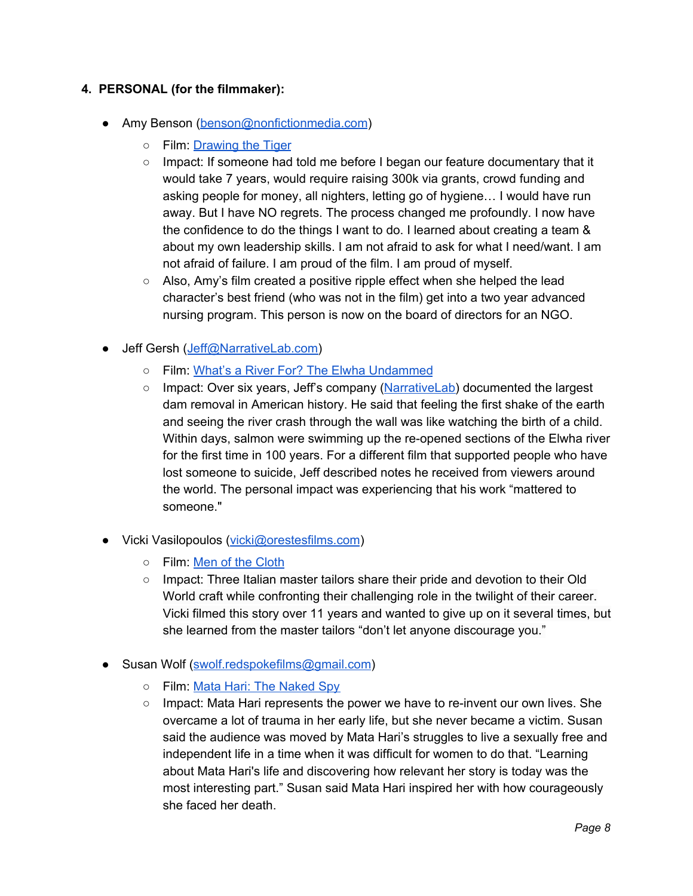### **4. PERSONAL (for the filmmaker):**

- Amy Benson [\(benson@nonfictionmedia.com](mailto:benson@nonfictionmedia.com))
	- Film: [Drawing](https://www.drawingthetiger.com/) the Tiger
	- Impact: If someone had told me before I began our feature documentary that it would take 7 years, would require raising 300k via grants, crowd funding and asking people for money, all nighters, letting go of hygiene… I would have run away. But I have NO regrets. The process changed me profoundly. I now have the confidence to do the things I want to do. I learned about creating a team & about my own leadership skills. I am not afraid to ask for what I need/want. I am not afraid of failure. I am proud of the film. I am proud of myself.
	- Also, Amy's film created a positive ripple effect when she helped the lead character's best friend (who was not in the film) get into a two year advanced nursing program. This person is now on the board of directors for an NGO.
- Jeff Gersh ([Jeff@NarrativeLab.com](mailto:Jeff@narrativelab.com))
	- Film: What's a River For? The Elwha [Undammed](http://www.narrativelab.com/)
	- Impact: Over six years, Jeff's company ([NarrativeLab\)](http://www.narrativelab.com/) documented the largest dam removal in American history. He said that feeling the first shake of the earth and seeing the river crash through the wall was like watching the birth of a child. Within days, salmon were swimming up the re-opened sections of the Elwha river for the first time in 100 years. For a different film that supported people who have lost someone to suicide, Jeff described notes he received from viewers around the world. The personal impact was experiencing that his work "mattered to someone."
- Vicki Vasilopoulos [\(vicki@orestesfilms.com](mailto:vicki@orestesfilms.com))
	- Film: Men of the [Cloth](http://menoftheclothfilm.com/)
	- Impact: Three Italian master tailors share their pride and devotion to their Old World craft while confronting their challenging role in the twilight of their career. Vicki filmed this story over 11 years and wanted to give up on it several times, but she learned from the master tailors "don't let anyone discourage you."
- Susan Wolf ([swolf.redspokefilms@gmail.com](mailto:swolf.redspokefilms@gmail.com))
	- Film: Mata Hari: The [Naked](https://vimeo.com/235759318) Spy
	- Impact: Mata Hari represents the power we have to re-invent our own lives. She overcame a lot of trauma in her early life, but she never became a victim. Susan said the audience was moved by Mata Hari's struggles to live a sexually free and independent life in a time when it was difficult for women to do that. "Learning about Mata Hari's life and discovering how relevant her story is today was the most interesting part." Susan said Mata Hari inspired her with how courageously she faced her death.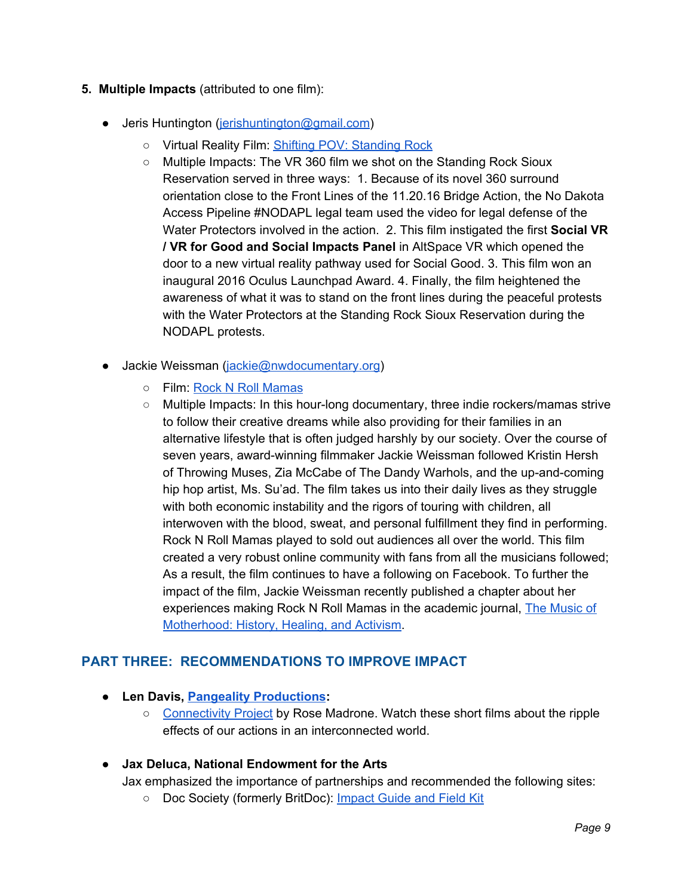### **5. Multiple Impacts** (attributed to one film):

- Jeris Huntington [\(jerishuntington@gmail.com\)](mailto:jerishuntington@gmail.com)
	- Virtual Reality Film: Shifting POV: [Standing](https://youtu.be/J0z1c09CGg8) Rock
	- Multiple Impacts: The VR 360 film we shot on the Standing Rock Sioux Reservation served in three ways: 1. Because of its novel 360 surround orientation close to the Front Lines of the 11.20.16 Bridge Action, the No Dakota Access Pipeline #NODAPL legal team used the video for legal defense of the Water Protectors involved in the action. 2. This film instigated the first **Social VR / VR for Good and Social Impacts Panel** in AltSpace VR which opened the door to a new virtual reality pathway used for Social Good. 3. This film won an inaugural 2016 Oculus Launchpad Award. 4. Finally, the film heightened the awareness of what it was to stand on the front lines during the peaceful protests with the Water Protectors at the Standing Rock Sioux Reservation during the NODAPL protests.
- Jackie Weissman [\(jackie@nwdocumentary.org](mailto:jackie@nwdocumentary.org))
	- Film: Rock N Roll [Mamas](https://rocknrollmamas.com/)
	- Multiple Impacts: In this hour-long documentary, three indie rockers/mamas strive to follow their creative dreams while also providing for their families in an alternative lifestyle that is often judged harshly by our society. Over the course of seven years, award-winning filmmaker Jackie Weissman followed Kristin Hersh of Throwing Muses, Zia McCabe of The Dandy Warhols, and the up-and-coming hip hop artist, Ms. Su'ad. The film takes us into their daily lives as they struggle with both economic instability and the rigors of touring with children, all interwoven with the blood, sweat, and personal fulfillment they find in performing. Rock N Roll Mamas played to sold out audiences all over the world. This film created a very robust online community with fans from all the musicians followed; As a result, the film continues to have a following on Facebook. To further the impact of the film, Jackie Weissman recently published a chapter about her experiences making Rock N Roll Mamas in the academic journal, The [Music](http://demeterpress.org/books/the-music-of-motherhood-history-healing-and-activism/) of [Motherhood:](http://demeterpress.org/books/the-music-of-motherhood-history-healing-and-activism/) History, Healing, and Activism[.](http://demeterpress.org/books/the-music-of-motherhood-history-healing-and-activism/)

# **PART THREE: RECOMMENDATIONS TO IMPROVE IMPACT**

- **● Len Davis, Pangeality [Productions](http://www.pangealityproductions.com/):**
	- [Connectivity](http://www.connectivityproject.com/) Project by Rose Madrone. Watch these short films about the ripple effects of our actions in an interconnected world.

#### ● **Jax Deluca, National Endowment for the Arts**

Jax emphasized the importance of partnerships and recommended the following sites:

○ Doc Society (formerly BritDoc): [Impact](https://impactguide.org/) Guide and Field Kit